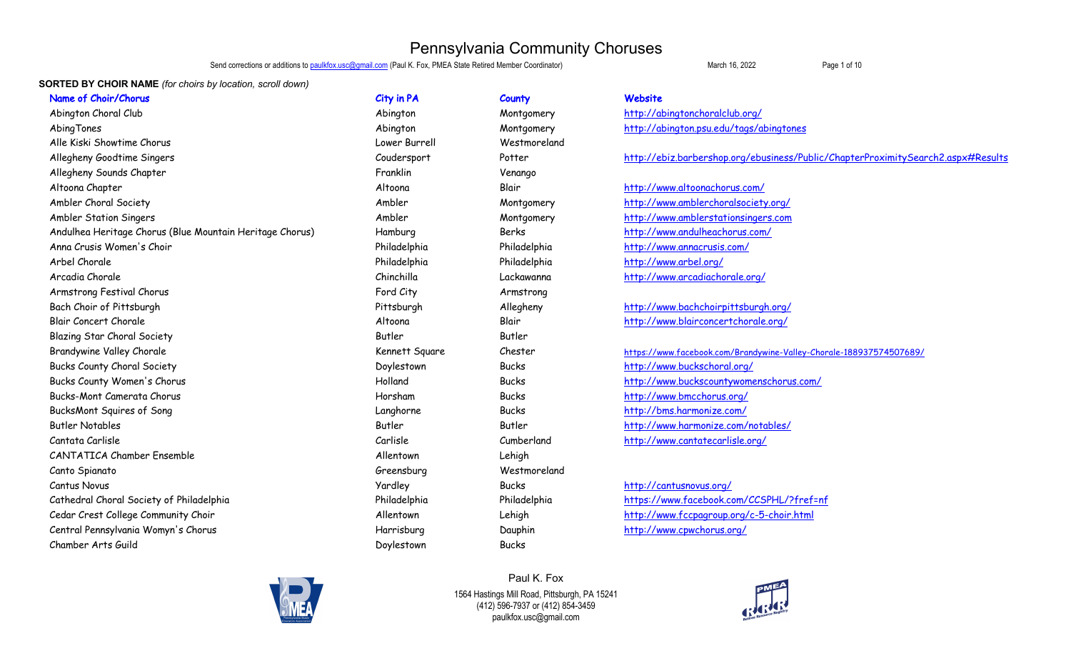Send corrections or additions to **paulkfox.usc@gmail.com** (Paul K. Fox, PMEA State Retired Member Coordinator) March 16, 2022 **Page 1 of 10** 

### **SORTED BY CHOIR NAME** *(for choirs by location, scroll down)*

Abington Choral Club and Club Abington Abington Montgomery http://abingtonchoralclub.org/ AbingTones and Montgomery Montgomery http://abington.psu.edu/tags/abingtones Alle Kiski Showtime Chorus Lower Burrell Westmoreland Allegheny Sounds Chapter Franklin Venango Altoona Chapter Altoona Blair http://www.altoonachorus.com/ Ambler Choral Society **Ambler** Ambler Montgomery http://www.amblerchoralsociety.org/ Ambler Station Singers Ambler Montgomery http://www.amblerstationsingers.com Andulhea Heritage Chorus (Blue Mountain Heritage Chorus) Hamburg Berks Berks http://www.andulheachorus.com/ Anna Crusis Women's Choir Philadelphia Philadelphia http://www.annacrusis.com/ Arbel Chorale Philadelphia Philadelphia http://www.arbel.org/ Arcadia Chorale Chinchilla Lackawanna http://www.arcadiachorale.org/ Armstrong Festival Chorus Ford City Ford City Armstrong Armstrong Armstrong Ford City Armstrong Armstrong Armstrong Bach Choir of Pittsburgh Pittsburgh Pittsburgh Allegheny Allegheny http://www.bachchoirpittsburgh.org/ Blair Concert Chorale Altoona Blair http://www.blairconcertchorale.org/ Blazing Star Choral Society Butler Butler Bucks County Choral Society **Superintent Controller Society** Doylestown Bucks http://www.buckschoral.org/ Bucks County Women's Chorus http://www.buckscountywomenschorus.com/ Bucks-Mont Camerata Chorus Horsham Bucks http://www.bmcchorus.org/ BucksMont Squires of Song Langhorne Bucks http://bms.harmonize.com/ Butler Notables Butler Butler http://www.harmonize.com/notables/ Cantata Carlisle Carlisle Cumberland http://www.cantatecarlisle.org/ CANTATICA Chamber Ensemble **Allentown** Allentown Lehigh Canto Spianato Greensburg Westmoreland Cantus Novus Yardley Bucks http://cantusnovus.org/ Cathedral Choral Society of Philadelphia **Philadelphia** Philadelphia Philadelphia https://www.facebook.com/CCSPHL/?fref=nf Cedar Crest College Community Choir and the College Community Choir chair choir contracts and Allentown allentown Lehigh http://www.fccpagroup.org/c-5-choir.html Central Pennsylvania Womyn's Chorus National According Harrisburg Dauphin Dauphin http://www.cpwchorus.org/ Chamber Arts Guild Doylestown Bucks

Name of Choir/Chorus City in PA County County Website

Allegheny Goodtime Singers Coudersport Potter http://ebiz.barbershop.org/ebusiness/Public/ChapterProximitySearch2.aspx#Results

Brandywine Valley Chorale Superint Square Chester Chester https://www.facebook.com/Brandywine-Valley-Chorale-188937574507689/

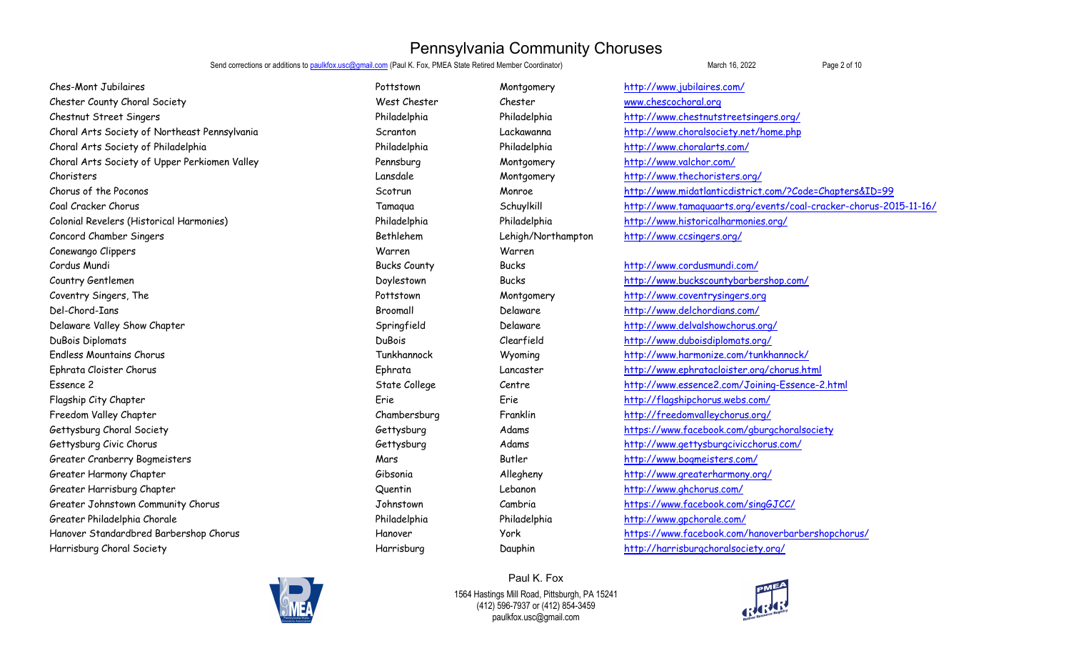Send corrections or additions to **paulkfox.usc@gmail.com** (Paul K. Fox, PMEA State Retired Member Coordinator) March 16, 2022 **Page 2 of 10** 

Ches-Mont Jubilaires **Exercise 2018** 2017 Montgomery Montgomery Montgomery http://www.jubilaires.com/ Chester County Choral Society Chester West Chester County Chester County Choral.org Chestnut Street Singers Philadelphia Philadelphia http://www.chestnutstreetsingers.org/ Choral Arts Society of Northeast Pennsylvania Scranton Lackawanna http://www.choralsociety.net/home.php Choral Arts Society of Philadelphia Philadelphia Philadelphia http://www.choralarts.com/ Choral Arts Society of Upper Perkiomen Valley Pennsburg Montgomery http://www.valchor.com/ Choristers Lansdale Montgomery http://www.thechoristers.org/ Chorus of the Poconos Scotrun Monroe http://www.midatlanticdistrict.com/?Code=Chapters&ID=99 Coal Cracker Chorus Tamaqua Schuylkill http://www.tamaquaarts.org/events/coal-cracker-chorus-2015-11-16/ Colonial Revelers (Historical Harmonies) Philadelphia Philadelphia http://www.historicalharmonies.org/ Concord Chamber Singers The Concord Chamber Singers.org/
Concord Chamber Singers.org/
Concord Chamber Singers.org/
Concord Chamber Singers.org/
Concord Chamber Singers Conewango Clippers Warren Warren Cordus Mundi Bucks County Bucks http://www.cordusmundi.com/ Country Gentlemen Doylestown Bucks http://www.buckscountybarbershop.com/ Coventry Singers, The Pottstown Montgomery http://www.coventrysingers.org Del-Chord-Ians Broomall Delaware http://www.delchordians.com/ Delaware Valley Show Chapter Springfield Delaware http://www.delvalshowchorus.org/ DuBois Diplomats DuBois Clearfield http://www.duboisdiplomats.org/ Endless Mountains Chorus Tunkhannock Wyoming http://www.harmonize.com/tunkhannock/ Ephrata Cloister Chorus Ephrata Lancaster http://www.ephratacloister.org/chorus.html Essence 2 State College Centre http://www.essence2.com/Joining-Essence-2.html Flagship City Chapter Erie Erie http://flagshipchorus.webs.com/ Freedom Valley Chapter Chambersburg Franklin http://freedomvalleychorus.org/ Gettysburg Choral Society Choral Society Choral Society Cettysburg Gettysburg Adams https://www.facebook.com/gburgchoralsociety Gettysburg Civic Chorus Gettysburg Adams http://www.gettysburgcivicchorus.com/ Greater Cranberry Bogmeisters and the community of the Mars and Mars and Butler http://www.bogmeisters.com/ Greater Harmony Chapter The Chapter Chapter Chapter Gibsonia Gibsonia Allegheny http://www.greater.harmony.org/ Greater Harrisburg Chapter The Communication of the Countring Cuentin Lebanon and the Harrisburg Chapter of the Countring Chapter Countring Countring Chapter of the Countring Countring Countring Countring Countring Countri Greater Johnstown Community Chorus Cambria Johnstown Cambria Cambria https://www.facebook.com/singGJCC/ Greater Philadelphia Chorale Chorale Chorale Chorale Philadelphia Philadelphia Philadelphia http://www.gpchorale.com/ Hanover Standardbred Barbershop Chorus Hanover York https://www.facebook.com/hanoverbarbershopchorus/ Harrisburg Choral Society Harrisburg Dauphin http://harrisburgchoralsociety.org/



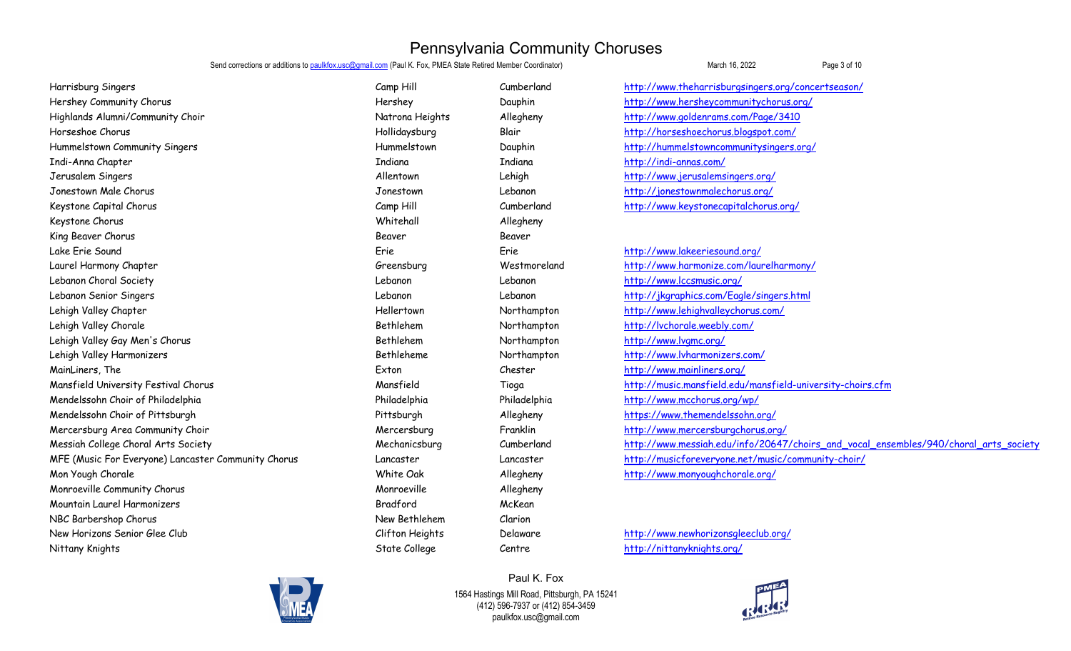Send corrections or additions to paulkfox.usc@gmail.com (Paul K. Fox, PMEA State Retired Member Coordinator) March 16, 2022 March 16, 2022

Harrisburg Singers Camp Hill Cumberland http://www.theharrisburgsingers.org/concertseason/ Hershey Community Chorus http://www.hershey.communitychorus.org/ Highlands Alumni/Community Choir Natrona Heights Allegheny http://www.goldenrams.com/Page/3410 Hollidaysburg Blair Blair http://horseshoechorus.blogspot.com/ Hummelstown Community Singers Hummelstown Dauphin http://hummelstowncommunitysingers.org/ Indi-Anna Chapter Indiana Indiana http://indi-annas.com/ Jerusalem Singers Allentown Lehigh http://www.jerusalemsingers.org/ Jonestown Male Chorus Jonestown Lebanon http://jonestownmalechorus.org/ Keystone Capital Chorus Camp Hill Cumberland http://www.keystonecapitalchorus.org/ Keystone Chorus Whitehall Allegheny King Beaver Chorus Beaver Beaver Beaver Beaver Beaver Beaver Beaver Beaver Beaver Beaver Beaver Beaver Beaver Lake Erie Sound Erie Erie http://www.lakeeriesound.org/ Laurel Harmony Chapter Greensburg Westmoreland http://www.harmonize.com/laurelharmony/ Lebanon Choral Society Lebanon Lebanon http://www.lccsmusic.org/ Lebanon Senior Singers Lebanon Lebanon http://jkgraphics.com/Eagle/singers.html Lehigh Valley Chapter The Month of the Hellertown Hellertown Northampton http://www.lehighvalleychorus.com/ Lehigh Valley Chorale **Bethlehem** Rethlehem Northampton http://lvchorale.weebly.com/ Lehigh Valley Gay Men's Chorus and the state of the control of Bethlehem Northampton http://www.lvgmc.org/ Lehigh Valley Harmonizers entity and the Sethleheme Northampton http://www.lvharmonizers.com/ MainLiners, The Exton Chester http://www.mainliners.org/ Mendelssohn Choir of Philadelphia **Accord Philadelphia** Philadelphia Philadelphia http://www.mcchorus.org/wp/ Mendelssohn Choir of Pittsburgh **Allegheny** Allegheny Allegheny https://www.themendelssohn.org/ Mercersburg Area Community Choir **Mercersburg Mercersburg Franklin** Franklin http://www.mercersburgchorus.org/ MFE (Music For Everyone) Lancaster Community Chorus Lancaster Lancaster http://musicforeveryone.net/music/community-choir/ Mon Yough Chorale White Oak Allegheny http://www.monyoughchorale.org/ Monroeville Community Chorus and Allegheny Monroeville Allegheny Mountain Laurel Harmonizers Bradford McKean NBC Barbershop Chorus New Bethlehem Clarion New Horizons Senior Glee Club Clifton Heights Delaware http://www.newhorizonsgleeclub.org/ Nittany Knights State College Centre http://nittanyknights.org/

Mansfield University Festival Chorus Mansfield Tioga http://music.mansfield.edu/mansfield-university-choirs.cfm Messiah College Choral Arts Society Mechanicsburg Cumberland http://www.messiah.edu/info/20647/choirs\_and\_vocal\_ensembles/940/choral\_arts\_society

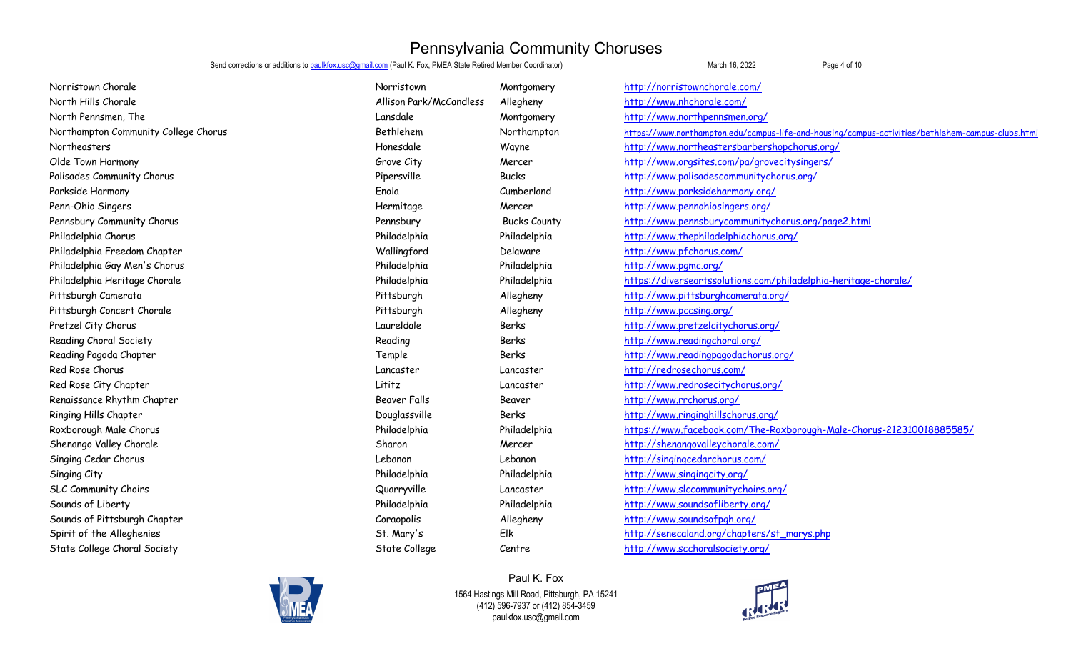Send corrections or additions to paulkfox.usc@gmail.com (Paul K. Fox, PMEA State Retired Member Coordinator) March 16, 2022 March 16, 2022

Norristown Chorale Norristown Montgomery http://norristownchorale.com/ North Hills Chorale Allison Park/McCandless Allegheny http://www.nhchorale.com/ North Pennsmen, The North Rennesmen.org/ http://www.northpennsmen.org/ http://www.northpennsmen.org/ Northampton Community College Chorus ethiclenes are the Bethlehem Northampton https://www.northampton.edu/campus-life-and-housing/campus-activities/bethlehem-campus-clubs.html Northeasters entity and the Honesdale Mayne http://www.northeastersbarbershopchorus.org/ Olde Town Harmony Charmony Charmon Grove City Charmon Charmon Mercer http://www.orgsites.com/pa/grovecitysingers/ Palisades Community Chorus **Palisades Community Chorus** Pipersville Bucks http://www.palisadescommunitychorus.org/ Parkside Harmony Enola Cumberland http://www.parksideharmony.org/ Penn-Ohio Singers and the state of the Hermitage Mercer Mercer http://www.pennohiosingers.org/ Pennsbury Community Chorus entity and the pennsbury Pennsbury Bucks County http://www.pennsburycommunitychorus.org/page2.html Philadelphia Chorus Philadelphia Philadelphia http://www.thephiladelphiachorus.org/ Philadelphia Freedom Chapter Wallingford Delaware http://www.pfchorus.com/ Philadelphia Gay Men's Chorus Philadelphia Philadelphia http://www.pgmc.org/ Philadelphia Heritage Chorale Philadelphia Philadelphia https://diverseartssolutions.com/philadelphia-heritage-chorale/ Pittsburgh Camerata Pittsburgh Allegheny http://www.pittsburghcamerata.org/ Pittsburgh Concert Chorale Pittsburgh Allegheny http://www.pccsing.org/ Pretzel City Chorus Laureldale Berks http://www.pretzelcitychorus.org/ Reading Choral Society Reading Berks http://www.readingchoral.org/ Reading Pagoda Chapter Temple Berks http://www.readingpagodachorus.org/ Red Rose Chorus Lancaster Lancaster http://redrosechorus.com/ Red Rose City Chapter Lititz Lancaster http://www.redrosecitychorus.org/ Renaissance Rhythm Chapter The Chapter Seaver Falls Beaver Falls Beaver Beaver Falls Althous.org/ Ringing Hills Chapter Douglassville Berks http://www.ringinghillschorus.org/ Roxborough Male Chorus entity and the Philadelphia Philadelphia Philadelphia https://www.facebook.com/The-Roxborough-Male-Chorus-212310018885585/ Shenango Valley Chorale Sharon Sharon Mercer http://shenangovalleychorale.com/ Singing Cedar Chorus Lebanon Lebanon http://singingcedarchorus.com/ Singing City Philadelphia Philadelphia http://www.singingcity.org/ SLC Community Choirs Quarryville Lancaster http://www.slccommunitychoirs.org/ Sounds of Liberty Philadelphia Philadelphia http://www.soundsofliberty.org/ Sounds of Pittsburgh Chapter Coraopolis Allegheny http://www.soundsofpgh.org/ Spirit of the Alleghenies St. Mary's Elk http://senecaland.org/chapters/st\_marys.php State College Choral Society Choral State College Choral State College Centre http://www.scchoralsociety.org/



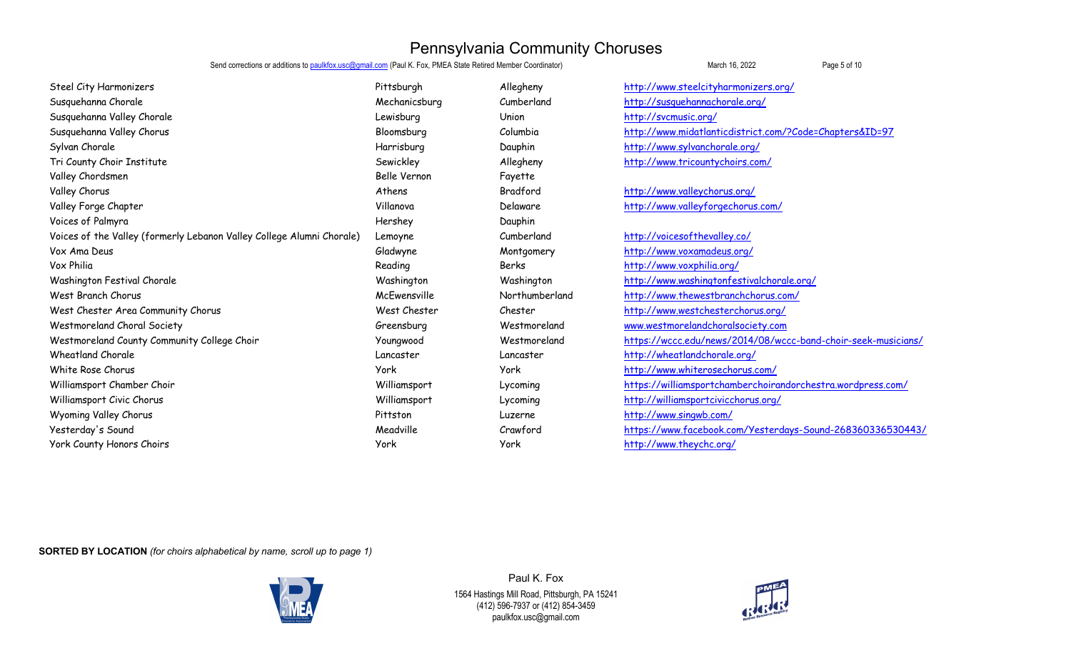Send corrections or additions to **paulkfox.usc@gmail.com** (Paul K. Fox, PMEA State Retired Member Coordinator) March 16, 2022 March 16, 2022

| Steel City Harmonizers                                                | Pittsburgh    | Allegheny      | http://www.steelcityharmonizers.org/                          |
|-----------------------------------------------------------------------|---------------|----------------|---------------------------------------------------------------|
| Susquehanna Chorale                                                   | Mechanicsburg | Cumberland     | http://susquehannachorale.org/                                |
| Susquehanna Valley Chorale                                            | Lewisburg     | Union          | http://svcmusic.org/                                          |
| Susquehanna Valley Chorus                                             | Bloomsburg    | Columbia       | http://www.midatlanticdistrict.com/?Code=Chapters&ID=97       |
| Sylvan Chorale                                                        | Harrisburg    | Dauphin        | http://www.sylvanchorale.org/                                 |
| Tri County Choir Institute                                            | Sewickley     | Allegheny      | http://www.tricountychoirs.com/                               |
| Valley Chordsmen                                                      | Belle Vernon  | Fayette        |                                                               |
| Valley Chorus                                                         | Athens        | Bradford       | http://www.valleychorus.org/                                  |
| Valley Forge Chapter                                                  | Villanova     | Delaware       | http://www.valleyforgechorus.com/                             |
| Voices of Palmyra                                                     | Hershey       | Dauphin        |                                                               |
| Voices of the Valley (formerly Lebanon Valley College Alumni Chorale) | Lemoyne       | Cumberland     | http://voicesofthevalley.co/                                  |
| Vox Ama Deus                                                          | Gladwyne      | Montgomery     | http://www.voxamadeus.org/                                    |
| Vox Philia                                                            | Reading       | Berks          | http://www.voxphilia.org/                                     |
| Washington Festival Chorale                                           | Washington    | Washington     | http://www.washingtonfestivalchorale.org/                     |
| West Branch Chorus                                                    | McEwensville  | Northumberland | http://www.thewestbranchchorus.com/                           |
| West Chester Area Community Chorus                                    | West Chester  | Chester        | http://www.westchesterchorus.org/                             |
| Westmoreland Choral Society                                           | Greensburg    | Westmoreland   | www.westmorelandchoralsociety.com                             |
| Westmoreland County Community College Choir                           | Youngwood     | Westmoreland   | https://wccc.edu/news/2014/08/wccc-band-choir-seek-musicians/ |
| <b>Wheatland Chorale</b>                                              | Lancaster     | Lancaster      | http://wheatlandchorale.org/                                  |
| White Rose Chorus                                                     | <b>York</b>   | York           | http://www.whiterosechorus.com/                               |
| Williamsport Chamber Choir                                            | Williamsport  | Lycoming       | https://williamsportchamberchoirandorchestra.wordpress.com/   |
| Williamsport Civic Chorus                                             | Williamsport  | Lycoming       | http://williamsportcivicchorus.org/                           |
| Wyoming Valley Chorus                                                 | Pittston      | Luzerne        | http://www.singwb.com/                                        |
| Yesterday's Sound                                                     | Meadville     | Crawford       | https://www.facebook.com/Yesterdays-Sound-268360336530443/    |
| York County Honors Choirs                                             | York          | York           | http://www.theychc.org/                                       |
|                                                                       |               |                |                                                               |

**SORTED BY LOCATION** *(for choirs alphabetical by name, scroll up to page 1)*



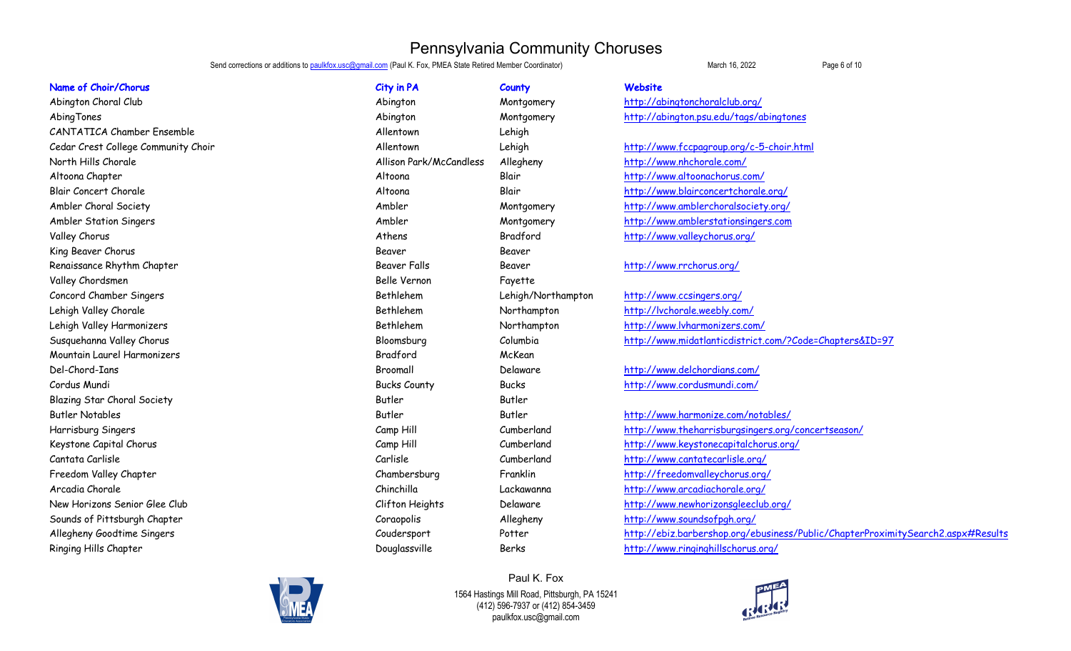Send corrections or additions to paulkfox.usc@gmail.com (Paul K. Fox, PMEA State Retired Member Coordinator) March 16, 2022 March 16, 2022

Abington Choral Club Abington Montgomery http://abingtonchoralclub.org/ CANTATICA Chamber Ensemble **Allentown** Allentown Lehigh North Hills Chorale **Allison Park/McCandless** Allegheny http://www.nhchorale.com/ Altoona Chapter Altoona Blair http://www.altoonachorus.com/ valley Chorus Chorus Athens Athens Athens Bradford http://www.valleychorus.org/ King Beaver Chorus Beaver Beaver Beaver Beaver Beaver Beaver Beaver Beaver Beaver Beaver Beaver Beaver Beaver Renaissance Rhythm Chapter The Chapter Seaver Falls Beaver Falls Beaver Falls Beaver Falls http://www.rrchorus.org/ Valley Chordsmen Belle Vernon Fayette Concord Chamber Singers The Concord Chamber Singers are a settlehem and the Lehigh/Northampton http://www.ccsingers.org/ Lehigh Valley Chorale **Bethlehem** Rethlehem Northampton http://lvchorale.weebly.com/ Lehigh Valley Harmonizers Bethlehem Northampton http://www.lvharmonizers.com/ Mountain Laurel Harmonizers Bradford McKean Del-Chord-Ians Broomall Delaware http://www.delchordians.com/ Cordus Mundi Bucks County Bucks http://www.cordusmundi.com/ Blazing Star Choral Society **Butler Butler Butler** Butler Butler Butler Butler Butler Arcadia Chorale Chinchilla Chinchilla Lackawanna http://www.arcadiachorale.org/ Sounds of Pittsburgh Chapter Coraopolis Allegheny http://www.soundsofpgh.org/ Ringing Hills Chapter The Chapter School of the Douglassville Berks http://www.ringinghillschorus.org/

| Name of Choir/Chorus                | City in PA              | County             | Website   |
|-------------------------------------|-------------------------|--------------------|-----------|
| Abington Choral Club                | Abington                | Montgomery         | http://al |
| AbingTones                          | Abington                | Montgomery         | http://al |
| <b>CANTATICA Chamber Ensemble</b>   | Allentown               | Lehigh             |           |
| Cedar Crest College Community Choir | Allentown               | Lehigh             | http://w  |
| North Hills Chorale                 | Allison Park/McCandless | Allegheny          | http://w  |
| Altoona Chapter                     | Altoona                 | Blair              | http://w  |
| <b>Blair Concert Chorale</b>        | Altoona                 | Blair              | http://w  |
| Ambler Choral Society               | Ambler                  | Montgomery         | http://w  |
| Ambler Station Singers              | Ambler                  | Montgomery         | http://w  |
| Valley Chorus                       | Athens                  | Bradford           | http://w  |
| King Beaver Chorus                  | Beaver                  | Beaver             |           |
| Renaissance Rhythm Chapter          | Beaver Falls            | Beaver             | http://w  |
| Valley Chordsmen                    | Belle Vernon            | Fayette            |           |
| Concord Chamber Singers             | Bethlehem               | Lehigh/Northampton | http://w  |
| Lehigh Valley Chorale               | Bethlehem               | Northampton        | http://lv |
| Lehigh Valley Harmonizers           | Bethlehem               | Northampton        | http://w  |
| Susquehanna Valley Chorus           | Bloomsburg              | Columbia           | http://w  |
| Mountain Laurel Harmonizers         | Bradford                | McKean             |           |
| Del-Chord-Ians                      | Broomall                | Delaware           | http://w  |
| Cordus Mundi                        | <b>Bucks County</b>     | <b>Bucks</b>       | http://w  |
| Blazing Star Choral Society         | Butler                  | Butler             |           |
| <b>Butler Notables</b>              | Butler                  | Butler             | http://w  |
| Harrisburg Singers                  | Camp Hill               | Cumberland         | http://w  |
| Keystone Capital Chorus             | Camp Hill               | Cumberland         | http://w  |
| Cantata Carlisle                    | Carlisle                | Cumberland         | http://w  |
| Freedom Valley Chapter              | Chambersburg            | Franklin           | http://fr |
| Arcadia Chorale                     | Chinchilla              | Lackawanna         | http://w  |
| New Horizons Senior Glee Club       | Clifton Heights         | Delaware           | http://w  |
| Sounds of Pittsburgh Chapter        | Coraopolis              | Allegheny          | http://w  |
| Allegheny Goodtime Singers          | Coudersport             | Potter             | http://el |
| Ringing Hills Chapter               | Douglassville           | Berks              | http://w  |

AbingTones abingTones Abington Montgomery http://abington.psu.edu/tags/abingtones

Cedar Crest College Community Choir Allentown Lehigh http://www.fccpagroup.org/c-5-choir.html Blair Concert Chorale Altoona Blair http://www.blairconcertchorale.org/ Ambler Choral Society **Ambler** Ambler Montgomery http://www.amblerchoralsociety.org/ Ambler Station Singers Theory and Montgomery Montgomery http://www.amblerstationsingers.com

Susquehanna Valley Chorus Bloomsburg Columbia http://www.midatlanticdistrict.com/?Code=Chapters&ID=97

Butler Notables Butler Butler http://www.harmonize.com/notables/ Harrisburg Singers Camp Hill Cumberland http://www.theharrisburgsingers.org/concertseason/ Keystone Capital Chorus Camp Hill Cumberland http://www.keystonecapitalchorus.org/ Cantata Carlisle Carlisle Cumberland http://www.cantatecarlisle.org/ Freedom Valley Chapter Chambersburg Franklin http://freedomvalleychorus.org/ New Horizons Senior Glee Club Clifton Heights Delaware http://www.newhorizonsgleeclub.org/ Allegheny Goodtime Singers Coudersport Potter http://ebiz.barbershop.org/ebusiness/Public/ChapterProximitySearch2.aspx#Results

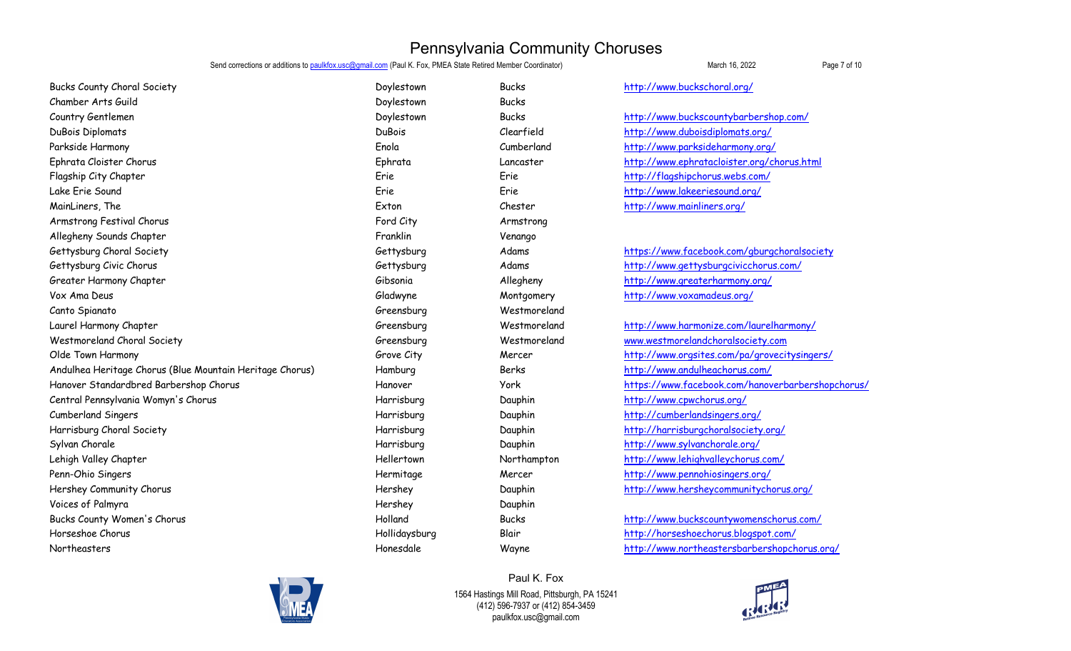Send corrections or additions to paulkfox.usc@gmail.com (Paul K. Fox, PMEA State Retired Member Coordinator) March 16, 2022 March 16, 2022

Bucks County Choral Society Doylestown Bucks http://www.buckschoral.org/ Chamber Arts Guild Doylestown Bucks Country Gentlemen Doylestown Bucks http://www.buckscountybarbershop.com/ DuBois Diplomats DuBois Clearfield http://www.duboisdiplomats.org/ Parkside Harmony Enola Cumberland http://www.parksideharmony.org/ Ephrata Cloister Chorus Ephrata Lancaster http://www.ephratacloister.org/chorus.html Flagship City Chapter Erie Erie http://flagshipchorus.webs.com/ Lake Erie Sound Erie Erie http://www.lakeeriesound.org/ MainLiners, The Exton Chester http://www.mainliners.org/ Armstrong Festival Chorus Ford City Research Control of City Armstrong Armstrong Armstrong Armstrong Armstrong Allegheny Sounds Chapter Franklin Venango Gettysburg Choral Society Choral Society Choral Society Choral Society Gettysburg Adams https://www.facebook.com/gburgchoralsociety Gettysburg Civic Chorus Civic Chorus Computer Computer Cettysburg Civic Chorus Computer Computer Computer Cettysburg Civic Chorus.com/ Greater Harmony Chapter Gibsonia Allegheny http://www.greaterharmony.org/ Vox Ama Deus Gladwyne Gladwyne Montgomery http://www.voxamadeus.org/ Canto Spianato Greensburg Westmoreland Laurel Harmony Chapter Greensburg Westmoreland http://www.harmonize.com/laurelharmony/ Westmoreland Choral Society Computer Greensburg Greensburg Westmoreland www.westmorelandchoralsociety.com Olde Town Harmony **Grove City** Grove City **Grove City** Mercer http://www.orgsites.com/pa/grovecitysingers/ Andulhea Heritage Chorus (Blue Mountain Heritage Chorus) http://www.andulheachorus.com/ Hanover Standardbred Barbershop Chorus Hanover York https://www.facebook.com/hanoverbarbershopchorus/ Central Pennsylvania Womyn's Chorus **Franchise Communist Communist Central Pennsylvania Womyn's Chorus** Cumberland Singers Harrisburg Dauphin http://cumberlandsingers.org/ Harrisburg Choral Society National Society And the Marrisburg Harrisburg Dauphin Harrisburgchoralsociety.org/ Sylvan Chorale **Exercise Sylvan Chorale Harrisburg** Dauphin Dauphin http://www.sylvanchorale.org/ Lehigh Valley Chapter The Month of the Hellertown Hellertown Northampton http://www.lehighvalleychorus.com/ Penn-Ohio Singers and the state of the Hermitage Mercer http://www.pennohiosingers.org/ Hershey Community Chorus Hershey Dauphin http://www.hersheycommunitychorus.org/ Voices of Palmyra Hershey Dauphin Bucks County Women's Chorus http://www.buckscountywomenschorus.com/ Hollidaysburg Blair Blair http://horseshoechorus.blogspot.com/ Northeasters entity and the Honesdale Mayne http://www.northeastersbarbershopchorus.org/



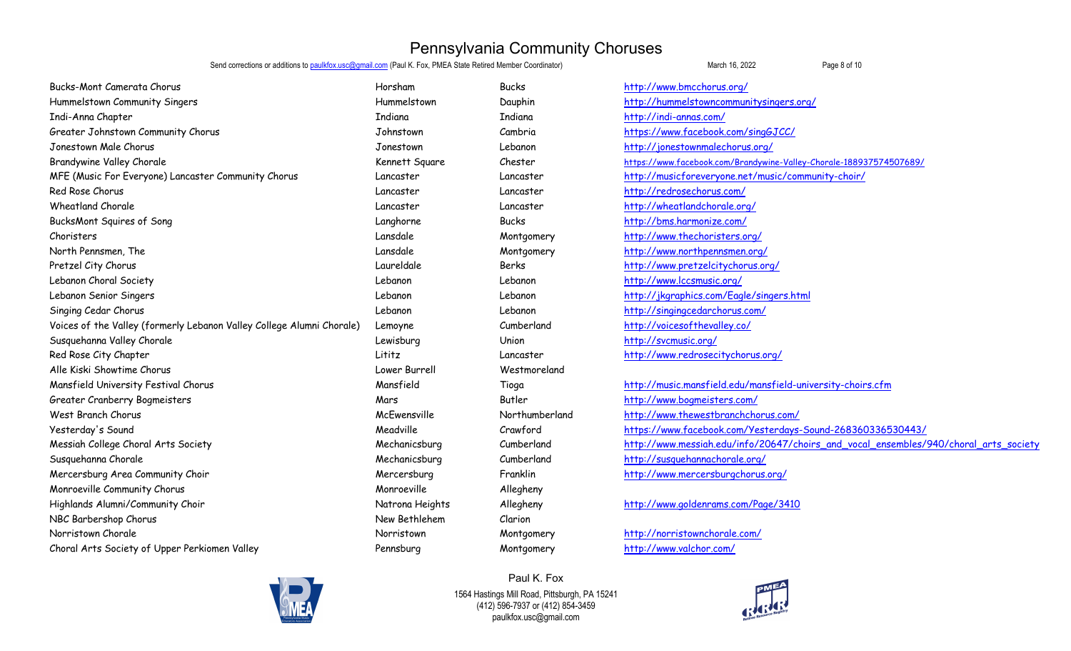Send corrections or additions to paulkfox.usc@gmail.com (Paul K. Fox, PMEA State Retired Member Coordinator) March 16, 2022 March 16, 2022

Bucks-Mont Camerata Chorus Horsham Bucks http://www.bmcchorus.org/ Hummelstown Community Singers Hummelstown Dauphin http://hummelstowncommunitysingers.org/ Indi-Anna Chapter Indiana Indiana http://indi-annas.com/ Greater Johnstown Community Chorus Cambria Johnstown Cambria Cambria https://www.facebook.com/singGJCC/ Jonestown Male Chorus Jonestown Lebanon http://jonestownmalechorus.org/ Brandywine Valley Chorale Superint Square Chester Chester https://www.facebook.com/Brandywine-Valley-Chorale-188937574507689/ MFE (Music For Everyone) Lancaster Community Chorus Lancaster Lancaster Lancaster http://musicforeveryone.net/music/community-choir/ Red Rose Chorus Lancaster Lancaster http://redrosechorus.com/ Wheatland Chorale Lancaster Lancaster http://wheatlandchorale.org/ BucksMont Squires of Song The Song Community of Song Langhorne Bucks Bucks http://bms.harmonize.com/ Choristers Lansdale Montgomery http://www.thechoristers.org/ North Pennsmen, The North Renness, The Lansdale Lansdale Montgomery http://www.northpennsmen.org/ Pretzel City Chorus Laureldale Berks http://www.pretzelcitychorus.org/ Lebanon Choral Society Lebanon Lebanon http://www.lccsmusic.org/ Lebanon Senior Singers Lebanon Lebanon http://jkgraphics.com/Eagle/singers.html Singing Cedar Chorus **Supering Cedar Chorus** Computer Lebanon Lebanon Lebanon Lebanon http://singingcedarchorus.com/ Voices of the Valley (formerly Lebanon Valley College Alumni Chorale) Lemoyne Cumberland http://voicesofthevalley.co/ Susquehanna Valley Chorale Lewisburg Union http://svcmusic.org/ Red Rose City Chapter Lititz Lancaster http://www.redrosecitychorus.org/ Alle Kiski Showtime Chorus Lower Burrell Westmoreland Mansfield University Festival Chorus Mansfield Tioga http://music.mansfield.edu/mansfield-university-choirs.cfm Greater Cranberry Bogmeisters Mars Butler http://www.bogmeisters.com/ West Branch Chorus McEwensville Northumberland http://www.thewestbranchchorus.com/ Yesterday's Sound Meadville Crawford https://www.facebook.com/Yesterdays-Sound-268360336530443/ Messiah College Choral Arts Society Mechanicsburg Cumberland http://www.messiah.edu/info/20647/choirs\_and\_vocal\_ensembles/940/choral\_arts\_society Susquehanna Chorale Susquehanna Chorale Mechanicsburg Cumberland http://susquehannachorale.org/ Mercersburg Area Community Choir The Community Choir Choice of the Mercersburg Mercersburg Franklin http://www.mercersburgchorus.org/ Monroeville Community Chorus and Allegheny Monroeville Allegheny Highlands Alumni/Community Choir Natrona Heights Allegheny http://www.goldenrams.com/Page/3410 NBC Barbershop Chorus New Bethlehem Clarion Norristown Chorale Norristown Montgomery http://norristownchorale.com/ Choral Arts Society of Upper Perkiomen Valley Pennsburg Montgomery http://www.valchor.com/



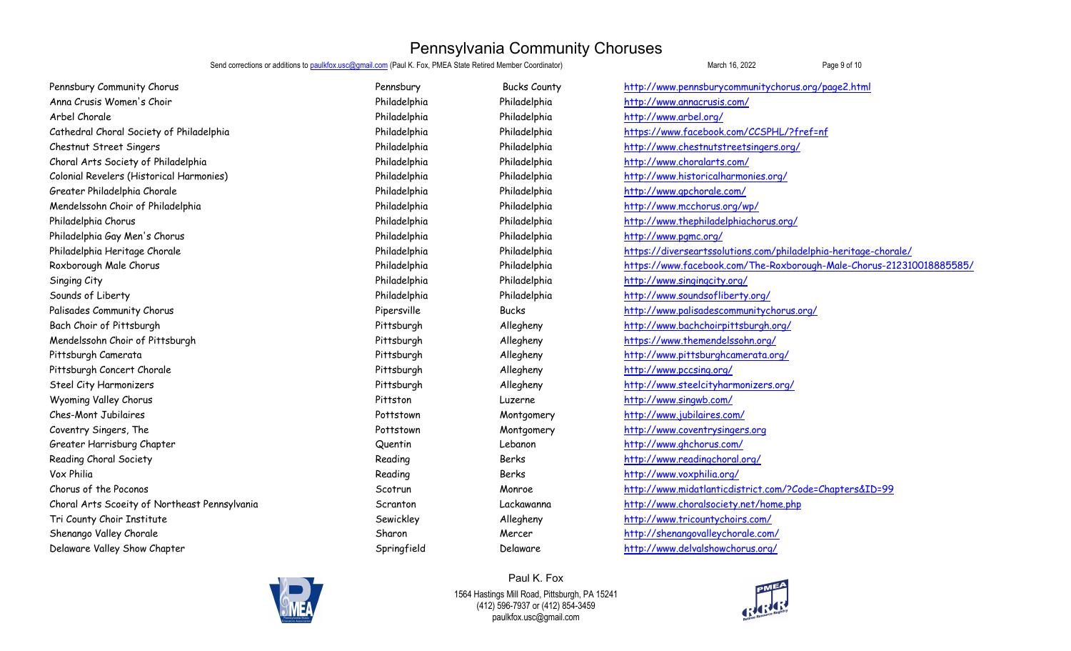Send corrections or additions to paulkfox.usc@gmail.com (Paul K. Fox, PMEA State Retired Member Coordinator) Machament March 16, 2022 Page 9 of 10

| Pennsbury Community Chorus                    | Pennsbury    | <b>Bucks County</b> | http://www.pennsburycommunitychorus.org/page2.html                   |
|-----------------------------------------------|--------------|---------------------|----------------------------------------------------------------------|
| Anna Crusis Women's Choir                     | Philadelphia | Philadelphia        | http://www.annacrusis.com/                                           |
| Arbel Chorale                                 | Philadelphia | Philadelphia        | http://www.arbel.org/                                                |
| Cathedral Choral Society of Philadelphia      | Philadelphia | Philadelphia        | https://www.facebook.com/CCSPHL/?fref=nf                             |
| Chestnut Street Singers                       | Philadelphia | Philadelphia        | http://www.chestnutstreetsingers.org/                                |
| Choral Arts Society of Philadelphia           | Philadelphia | Philadelphia        | http://www.choralarts.com/                                           |
| Colonial Revelers (Historical Harmonies)      | Philadelphia | Philadelphia        | http://www.historicalharmonies.org/                                  |
| Greater Philadelphia Chorale                  | Philadelphia | Philadelphia        | http://www.gpchorale.com/                                            |
| Mendelssohn Choir of Philadelphia             | Philadelphia | Philadelphia        | http://www.mcchorus.org/wp/                                          |
| Philadelphia Chorus                           | Philadelphia | Philadelphia        | http://www.thephiladelphiachorus.org/                                |
| Philadelphia Gay Men's Chorus                 | Philadelphia | Philadelphia        | http://www.pqmc.org/                                                 |
| Philadelphia Heritage Chorale                 | Philadelphia | Philadelphia        | https://diverseartssolutions.com/philadelphia-heritage-chorale/      |
| Roxborough Male Chorus                        | Philadelphia | Philadelphia        | https://www.facebook.com/The-Roxborough-Male-Chorus-212310018885585/ |
| Singing City                                  | Philadelphia | Philadelphia        | http://www.singingcity.org/                                          |
| Sounds of Liberty                             | Philadelphia | Philadelphia        | http://www.soundsofliberty.org/                                      |
| Palisades Community Chorus                    | Pipersville  | <b>Bucks</b>        | http://www.palisadescommunitychorus.org/                             |
| Bach Choir of Pittsburgh                      | Pittsburgh   | Allegheny           | http://www.bachchoirpittsburgh.org/                                  |
| Mendelssohn Choir of Pittsburgh               | Pittsburgh   | Allegheny           | https://www.themendelssohn.org/                                      |
| Pittsburgh Camerata                           | Pittsburgh   | Allegheny           | http://www.pittsburghcamerata.org/                                   |
| Pittsburgh Concert Chorale                    | Pittsburgh   | Allegheny           | http://www.pccsing.org/                                              |
| Steel City Harmonizers                        | Pittsburgh   | Allegheny           | http://www.steelcityharmonizers.org/                                 |
| Wyoming Valley Chorus                         | Pittston     | Luzerne             | http://www.singwb.com/                                               |
| Ches-Mont Jubilaires                          | Pottstown    | Montgomery          | http://www.jubilaires.com/                                           |
| Coventry Singers, The                         | Pottstown    | Montgomery          | http://www.coventrysingers.org                                       |
| Greater Harrisburg Chapter                    | Quentin      | Lebanon             | http://www.ghchorus.com/                                             |
| Reading Choral Society                        | Reading      | Berks               | http://www.readingchoral.org/                                        |
| Vox Philia                                    | Reading      | Berks               | http://www.voxphilia.org/                                            |
| Chorus of the Poconos                         | Scotrun      | Monroe              | http://www.midatlanticdistrict.com/?Code=Chapters&ID=99              |
| Choral Arts Scoeity of Northeast Pennsylvania | Scranton     | Lackawanna          | http://www.choralsociety.net/home.php                                |
| Tri County Choir Institute                    | Sewickley    | Allegheny           | http://www.tricountychoirs.com/                                      |
| Shenango Valley Chorale                       | Sharon       | Mercer              | http://shenangovalleychorale.com/                                    |
| Delaware Valley Show Chapter                  | Springfield  | Delaware            | http://www.delvalshowchorus.org/                                     |
|                                               |              |                     |                                                                      |